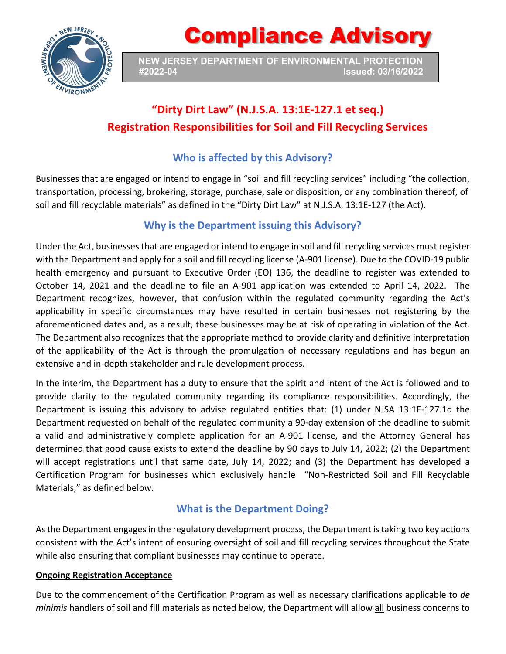

Compliance Advisory

**NEW JERSEY DEPARTMENT OF ENVIRONMENTAL PROTECTION #2022-04 Issued: 03/16/2022**

## **"Dirty Dirt Law" (N.J.S.A. 13:1E-127.1 et seq.) Registration Responsibilities for Soil and Fill Recycling Services**

## **Who is affected by this Advisory?**

Businesses that are engaged or intend to engage in "soil and fill recycling services" including "the collection, transportation, processing, brokering, storage, purchase, sale or disposition, or any combination thereof, of soil and fill recyclable materials" as defined in the "Dirty Dirt Law" at N.J.S.A. 13:1E-127 (the Act).

### **Why is the Department issuing this Advisory?**

Under the Act, businesses that are engaged or intend to engage in soil and fill recycling services must register with the Department and apply for a soil and fill recycling license (A-901 license). Due to the COVID-19 public health emergency and pursuant to Executive Order (EO) 136, the deadline to register was extended to October 14, 2021 and the deadline to file an A-901 application was extended to April 14, 2022. The Department recognizes, however, that confusion within the regulated community regarding the Act's applicability in specific circumstances may have resulted in certain businesses not registering by the aforementioned dates and, as a result, these businesses may be at risk of operating in violation of the Act. The Department also recognizes that the appropriate method to provide clarity and definitive interpretation of the applicability of the Act is through the promulgation of necessary regulations and has begun an extensive and in-depth stakeholder and rule development process.

In the interim, the Department has a duty to ensure that the spirit and intent of the Act is followed and to provide clarity to the regulated community regarding its compliance responsibilities. Accordingly, the Department is issuing this advisory to advise regulated entities that: (1) under NJSA 13:1E-127.1d the Department requested on behalf of the regulated community a 90-day extension of the deadline to submit a valid and administratively complete application for an A-901 license, and the Attorney General has determined that good cause exists to extend the deadline by 90 days to July 14, 2022; (2) the Department will accept registrations until that same date, July 14, 2022; and (3) the Department has developed a Certification Program for businesses which exclusively handle "Non-Restricted Soil and Fill Recyclable Materials," as defined below.

### **What is the Department Doing?**

As the Department engages in the regulatory development process, the Department istaking two key actions consistent with the Act's intent of ensuring oversight of soil and fill recycling services throughout the State while also ensuring that compliant businesses may continue to operate.

#### **Ongoing Registration Acceptance**

Due to the commencement of the Certification Program as well as necessary clarifications applicable to *de minimis* handlers of soil and fill materials as noted below, the Department will allow all business concerns to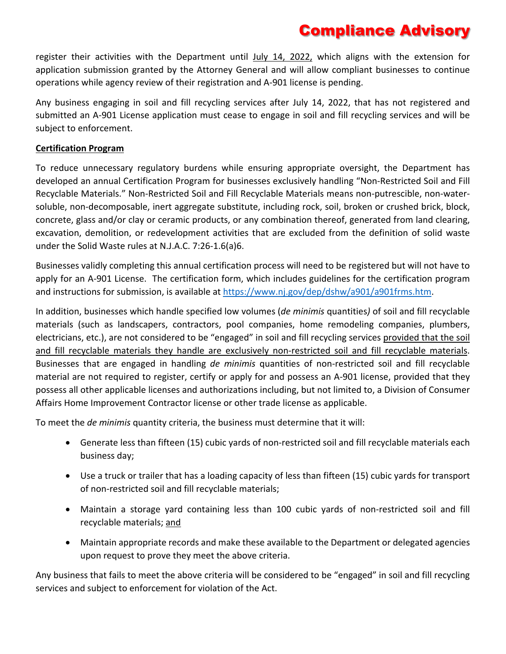# Compliance Advisory

register their activities with the Department until July 14, 2022, which aligns with the extension for application submission granted by the Attorney General and will allow compliant businesses to continue operations while agency review of their registration and A-901 license is pending.

Any business engaging in soil and fill recycling services after July 14, 2022, that has not registered and submitted an A-901 License application must cease to engage in soil and fill recycling services and will be subject to enforcement.

#### **Certification Program**

To reduce unnecessary regulatory burdens while ensuring appropriate oversight, the Department has developed an annual Certification Program for businesses exclusively handling "Non-Restricted Soil and Fill Recyclable Materials." Non-Restricted Soil and Fill Recyclable Materials means non-putrescible, non-watersoluble, non-decomposable, inert aggregate substitute, including rock, soil, broken or crushed brick, block, concrete, glass and/or clay or ceramic products, or any combination thereof, generated from land clearing, excavation, demolition, or redevelopment activities that are excluded from the definition of solid waste under the Solid Waste rules at N.J.A.C. 7:26-1.6(a)6.

Businesses validly completing this annual certification process will need to be registered but will not have to apply for an A-901 License. The certification form, which includes guidelines for the certification program and instructions for submission, is available at [https://www.nj.gov/dep/dshw/a901/a901frms.htm.](https://www.nj.gov/dep/dshw/a901/a901frms.htm)

In addition, businesses which handle specified low volumes (*de minimis* quantities*)* of soil and fill recyclable materials (such as landscapers, contractors, pool companies, home remodeling companies, plumbers, electricians, etc.), are not considered to be "engaged" in soil and fill recycling services provided that the soil and fill recyclable materials they handle are exclusively non-restricted soil and fill recyclable materials. Businesses that are engaged in handling *de minimis* quantities of non-restricted soil and fill recyclable material are not required to register, certify or apply for and possess an A-901 license, provided that they possess all other applicable licenses and authorizations including, but not limited to, a Division of Consumer Affairs Home Improvement Contractor license or other trade license as applicable.

To meet the *de minimis* quantity criteria, the business must determine that it will:

- Generate less than fifteen (15) cubic yards of non-restricted soil and fill recyclable materials each business day;
- Use a truck or trailer that has a loading capacity of less than fifteen (15) cubic yards for transport of non-restricted soil and fill recyclable materials;
- Maintain a storage yard containing less than 100 cubic yards of non-restricted soil and fill recyclable materials; and
- Maintain appropriate records and make these available to the Department or delegated agencies upon request to prove they meet the above criteria.

Any business that fails to meet the above criteria will be considered to be "engaged" in soil and fill recycling services and subject to enforcement for violation of the Act.